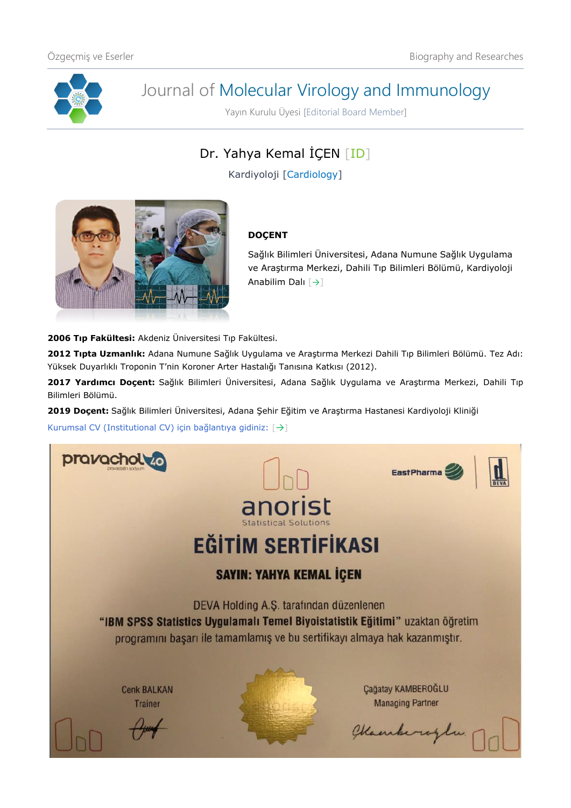

# Journal of Molecular Virology and Immunology

Yayın Kurulu Üyesi [Editorial Board Member]

Dr. Yahya Kemal İÇEN [\[ID\]](https://orcid.org/0000-0003-0070-5281)

Kardiyoloji [Cardiology]



## **DOÇENT**

Sağlık Bilimleri Üniversitesi, Adana Numune Sağlık Uygulama ve Araştırma Merkezi, Dahili Tıp Bilimleri Bölümü, Kardiyoloji Anabilim Dalı [[→](https://adanasehir.saglik.gov.tr/TR,85991/kardiyoloji.html)]

**2006 Tıp Fakültesi:** Akdeniz Üniversitesi Tıp Fakültesi.

**2012 Tıpta Uzmanlık:** Adana Numune Sağlık Uygulama ve Araştırma Merkezi Dahili Tıp Bilimleri Bölümü. Tez Adı: Yüksek Duyarlıklı Troponin T'nin Koroner Arter Hastalığı Tanısına Katkısı (2012).

**2017 Yardımcı Doçent:** Sağlık Bilimleri Üniversitesi, Adana Sağlık Uygulama ve Araştırma Merkezi, Dahili Tıp Bilimleri Bölümü.

**2019 Doçent:** Sağlık Bilimleri Üniversitesi, Adana Şehir Eğitim ve Araştırma Hastanesi Kardiyoloji Kliniği

Kurumsal CV (Institutional CV) için bağlantıya gidiniz: [[→](https://dosya.sbu.edu.tr/CV/YAHYAKEMALICEN_4194.pdf)]

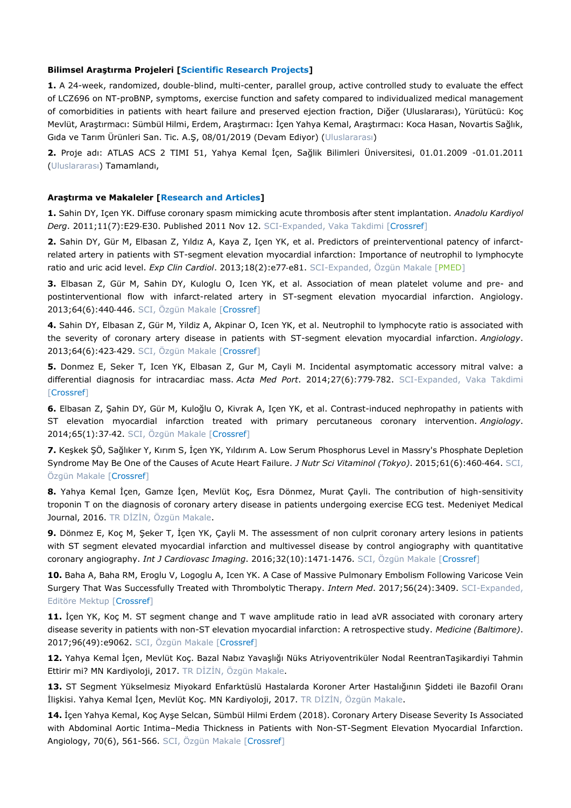#### **Bilimsel Araştırma Projeleri [Scientific Research Projects]**

**1.** A 24-week, randomized, double-blind, multi-center, parallel group, active controlled study to evaluate the effect of LCZ696 on NT-proBNP, symptoms, exercise function and safety compared to individualized medical management of comorbidities in patients with heart failure and preserved ejection fraction, Diğer (Uluslararası), Yürütücü: Koç Mevlüt, Araştırmacı: Sümbül Hilmi, Erdem, Araştırmacı: İçen Yahya Kemal, Araştırmacı: Koca Hasan, Novartis Sağlık, Gıda ve Tarım Ürünleri San. Tic. A.Ş, 08/01/2019 (Devam Ediyor) (Uluslararası)

**2.** Proje adı: ATLAS ACS 2 TIMI 51, Yahya Kemal İçen, Sağlik Bilimleri Üniversitesi, 01.01.2009 -01.01.2011 (Uluslararası) Tamamlandı,

#### **Araştırma ve Makaleler [Research and Articles]**

**1.** Sahin DY, Içen YK. Diffuse coronary spasm mimicking acute thrombosis after stent implantation. *Anadolu Kardiyol*  Derg. 2011;11(7):E29-E30. Published 2011 Nov 12. SCI-Expanded, Vaka Takdimi [\[Crossref\]](https://doi.org/10.5152/akd.2011.181)

**2.** Sahin DY, Gür M, Elbasan Z, Yıldız A, Kaya Z, Içen YK, et al. Predictors of preinterventional patency of infarctrelated artery in patients with ST-segment elevation myocardial infarction: Importance of neutrophil to lymphocyte ratio and uric acid level. *Exp Clin Cardiol*. 2013;18(2):e77‐e81. SCI-Expanded, Özgün Makale [\[PMED\]](https://pubmed.ncbi.nlm.nih.gov/23940451/)

**3.** Elbasan Z, Gür M, Sahin DY, Kuloglu O, Icen YK, et al. Association of mean platelet volume and pre- and postinterventional flow with infarct-related artery in ST-segment elevation myocardial infarction. Angiology. 2013;64(6):440‐446. SCI, Özgün Makale [\[Crossref\]](https://doi.org/10.1177/0003319712455685)

**4.** Sahin DY, Elbasan Z, Gür M, Yildiz A, Akpinar O, Icen YK, et al. Neutrophil to lymphocyte ratio is associated with the severity of coronary artery disease in patients with ST-segment elevation myocardial infarction. *Angiology*. 2013;64(6):423‐429. SCI, Özgün Makale [\[Crossref\]](https://doi.org/10.1177/0003319712453305)

**5.** Donmez E, Seker T, Icen YK, Elbasan Z, Gur M, Cayli M. Incidental asymptomatic accessory mitral valve: a differential diagnosis for intracardiac mass. *Acta Med Port*. 2014;27(6):779‐782. SCI-Expanded, Vaka Takdimi [\[Crossref\]](https://doi.org/10.20344/amp.5006)

**6.** Elbasan Z, Şahin DY, Gür M, Kuloğlu O, Kivrak A, Içen YK, et al. Contrast-induced nephropathy in patients with ST elevation myocardial infarction treated with primary percutaneous coronary intervention. *Angiology*. 2014;65(1):37‐42. SCI, Özgün Makale [\[Crossref\]](https://doi.org/10.1177/0003319712463816)

**7.** Keşkek ŞÖ, Sağlıker Y, Kırım S, İçen YK, Yıldırım A. Low Serum Phosphorus Level in Massry's Phosphate Depletion Syndrome May Be One of the Causes of Acute Heart Failure. *J Nutr Sci Vitaminol (Tokyo)*. 2015;61(6):460‐464. SCI, Özgün Makale [\[Crossref\]](https://doi.org/10.3177/jnsv.61.460)

**8.** Yahya Kemal İçen, Gamze İçen, Mevlüt Koç, Esra Dönmez, Murat Çayli. The contribution of high-sensitivity troponin T on the diagnosis of coronary artery disease in patients undergoing exercise ECG test. Medeniyet Medical Journal, 2016. TR DİZİN, Özgün Makale.

**9.** Dönmez E, Koç M, Şeker T, İçen YK, Çayli M. The assessment of non culprit coronary artery lesions in patients with ST segment elevated myocardial infarction and multivessel disease by control angiography with quantitative coronary angiography. *Int J Cardiovasc Imaging*. 2016;32(10):1471‐1476. SCI, Özgün Makale [\[Crossref\]](https://doi.org/10.1007/s10554-016-0943-8)

**10.** Baha A, Baha RM, Eroglu V, Logoglu A, Icen YK. A Case of Massive Pulmonary Embolism Following Varicose Vein Surgery That Was Successfully Treated with Thrombolytic Therapy. *Intern Med*. 2017;56(24):3409. SCI-Expanded, Editöre Mektup [\[Crossref\]](https://doi.org/10.2169/internalmedicine.9213-17)

**11.** İçen YK, Koç M. ST segment change and T wave amplitude ratio in lead aVR associated with coronary artery disease severity in patients with non-ST elevation myocardial infarction: A retrospective study. *Medicine (Baltimore)*. 2017;96(49):e9062. SCI, Özgün Makale [\[Crossref\]](https://doi.org/10.1097/MD.0000000000009062)

**12.** Yahya Kemal İçen, Mevlüt Koç. Bazal Nabız Yavaşlığı Nüks Atriyoventriküler Nodal ReentranTaşikardiyi Tahmin Ettirir mi? MN Kardiyoloji, 2017. TR DİZİN, Özgün Makale.

**13.** ST Segment Yükselmesiz Miyokard Enfarktüslü Hastalarda Koroner Arter Hastalığının Şiddeti ile Bazofil Oranı İlişkisi. Yahya Kemal İçen, Mevlüt Koç. MN Kardiyoloji, 2017. TR DİZİN, Özgün Makale.

**14.** İçen Yahya Kemal, Koç Ayşe Selcan, Sümbül Hilmi Erdem (2018). Coronary Artery Disease Severity Is Associated with Abdominal Aortic Intima–Media Thickness in Patients with Non-ST-Segment Elevation Myocardial Infarction. Angiology, 70(6), 561-566. SCI, Özgün Makale [[Crossref\]](https://doi.org/10.1177/0003319718794833)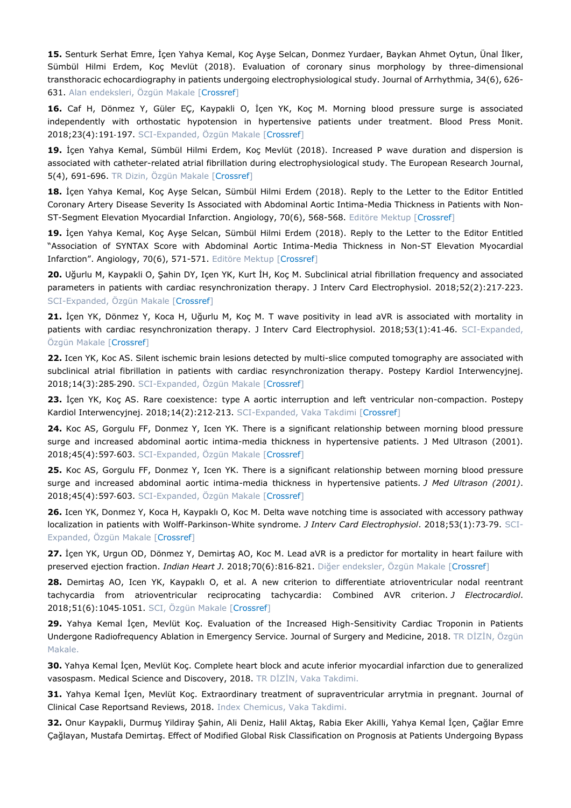**15.** Senturk Serhat Emre, İçen Yahya Kemal, Koç Ayşe Selcan, Donmez Yurdaer, Baykan Ahmet Oytun, Ünal İlker, Sümbül Hilmi Erdem, Koç Mevlüt (2018). Evaluation of coronary sinus morphology by three-dimensional transthoracic echocardiography in patients undergoing electrophysiological study. Journal of Arrhythmia, 34(6), 626- 631. Alan endeksleri, Özgün Makale [[Crossref\]](https://doi.org/10.1002/joa3.12122)

**16.** Caf H, Dönmez Y, Güler EÇ, Kaypakli O, İçen YK, Koç M. Morning blood pressure surge is associated independently with orthostatic hypotension in hypertensive patients under treatment. Blood Press Monit. 2018;23(4):191-197. SCI-Expanded, Özgün Makale [\[Crossref\]](https://doi.org/10.1097/MBP.0000000000000326)

**19.** İçen Yahya Kemal, Sümbül Hilmi Erdem, Koç Mevlüt (2018). Increased P wave duration and dispersion is associated with catheter-related atrial fibrillation during electrophysiological study. The European Research Journal, 5(4), 691-696. TR Dizin, Özgün Makale [[Crossref\]](https://doi.org/10.18621/eurj.412058)

**18.** İçen Yahya Kemal, Koç Ayşe Selcan, Sümbül Hilmi Erdem (2018). Reply to the Letter to the Editor Entitled Coronary Artery Disease Severity Is Associated with Abdominal Aortic Intima-Media Thickness in Patients with Non-ST-Segment Elevation Myocardial Infarction. Angiology, 70(6), 568-568. Editöre Mektup [[Crossref\]](https://doi.org/10.1177/0003319718808391)

**19.** İçen Yahya Kemal, Koç Ayşe Selcan, Sümbül Hilmi Erdem (2018). Reply to the Letter to the Editor Entitled "Association of SYNTAX Score with Abdominal Aortic Intima-Media Thickness in Non-ST Elevation Myocardial Infarction". Angiology, 70(6), 571-571. Editöre Mektup [[Crossref\]](https://doi.org/10.1177/0003319718811653)

**20.** Uğurlu M, Kaypakli O, Şahin DY, Içen YK, Kurt İH, Koç M. Subclinical atrial fibrillation frequency and associated parameters in patients with cardiac resynchronization therapy. J Interv Card Electrophysiol. 2018;52(2):217‐223. SCI-Expanded, Özgün Makale [\[Crossref\]](https://doi.org/10.1007/s10840-018-0385-4)

**21.** İçen YK, Dönmez Y, Koca H, Uğurlu M, Koç M. T wave positivity in lead aVR is associated with mortality in patients with cardiac resynchronization therapy. J Interv Card Electrophysiol. 2018;53(1):41-46. SCI-Expanded, Özgün Makale [\[Crossref\]](https://doi.org/10.1007/s10840-018-0364-9)

**22.** Icen YK, Koc AS. Silent ischemic brain lesions detected by multi-slice computed tomography are associated with subclinical atrial fibrillation in patients with cardiac resynchronization therapy. Postepy Kardiol Interwencyjnej. 2018;14(3):285-290. SCI-Expanded, Özgün Makale [\[Crossref\]](https://doi.org/10.5114/aic.2018.78332)

**23.** İçen YK, Koç AS. Rare coexistence: type A aortic interruption and left ventricular non-compaction. Postepy Kardiol Interwencyjnej. 2018;14(2):212-213. SCI-Expanded, Vaka Takdimi [\[Crossref\]](https://doi.org/10.5114/aic.2018.76420)

**24.** Koc AS, Gorgulu FF, Donmez Y, Icen YK. There is a significant relationship between morning blood pressure surge and increased abdominal aortic intima-media thickness in hypertensive patients. J Med Ultrason (2001). 2018;45(4):597‐603. SCI-Expanded, Özgün Makale [\[Crossref\]](https://doi.org/10.1007/s10396-018-0877-y)

**25.** Koc AS, Gorgulu FF, Donmez Y, Icen YK. There is a significant relationship between morning blood pressure surge and increased abdominal aortic intima-media thickness in hypertensive patients. *J Med Ultrason (2001)*. 2018;45(4):597‐603. SCI-Expanded, Özgün Makale [\[Crossref\]](https://doi.org/10.1007/s10396-018-0877-y)

**26.** Icen YK, Donmez Y, Koca H, Kaypaklı O, Koc M. Delta wave notching time is associated with accessory pathway localization in patients with Wolff-Parkinson-White syndrome. *J Interv Card Electrophysiol*. 2018;53(1):73‐79. SCI-Expanded, Özgün Makale [\[Crossref\]](https://doi.org/10.1007/s10840-018-0411-6)

**27.** İçen YK, Urgun OD, Dönmez Y, Demirtaş AO, Koc M. Lead aVR is a predictor for mortality in heart failure with preserved ejection fraction. *Indian Heart J*. 2018;70(6):816‐821. Diğer endeksler, Özgün Makale [\[Crossref\]](https://doi.org/10.1016/j.ihj.2018.07.001)

**28.** Demirtaş AO, Icen YK, Kaypaklı O, et al. A new criterion to differentiate atrioventricular nodal reentrant tachycardia from atrioventricular reciprocating tachycardia: Combined AVR criterion. *J Electrocardiol*. 2018;51(6):1045‐1051. SCI, Özgün Makale [\[Crossref\]](https://doi.org/10.1016/j.jelectrocard.2018.08.027)

**29.** Yahya Kemal İçen, Mevlüt Koç. Evaluation of the Increased High-Sensitivity Cardiac Troponin in Patients Undergone Radiofrequency Ablation in Emergency Service. Journal of Surgery and Medicine, 2018. TR DİZİN, Özgün Makale.

**30.** Yahya Kemal İçen, Mevlüt Koç. Complete heart block and acute inferior myocardial infarction due to generalized vasospasm. Medical Science and Discovery, 2018. TR DİZİN, Vaka Takdimi.

**31.** Yahya Kemal İçen, Mevlüt Koç. Extraordinary treatment of supraventricular arrytmia in pregnant. Journal of Clinical Case Reportsand Reviews, 2018. Index Chemicus, Vaka Takdimi.

**32.** Onur Kaypakli, Durmuş Yildiray Şahin, Ali Deniz, Halil Aktaş, Rabia Eker Akilli, Yahya Kemal İçen, Çağlar Emre Çağlayan, Mustafa Demirtaş. Effect of Modified Global Risk Classification on Prognosis at Patients Undergoing Bypass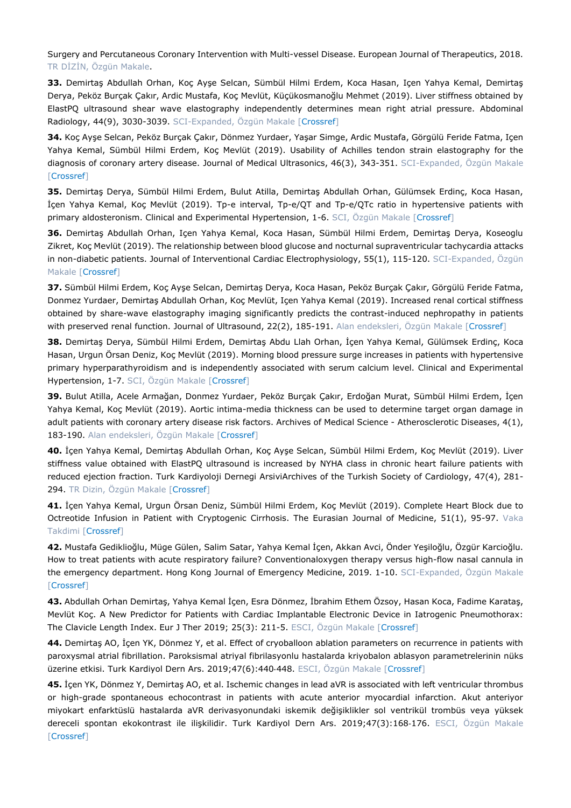Surgery and Percutaneous Coronary Intervention with Multi-vessel Disease. European Journal of Therapeutics, 2018. TR DİZİN, Özgün Makale.

**33.** Demirtaş Abdullah Orhan, Koç Ayşe Selcan, Sümbül Hilmi Erdem, Koca Hasan, Içen Yahya Kemal, Demirtaş Derya, Peköz Burçak Çakır, Ardic Mustafa, Koç Mevlüt, Küçükosmanoğlu Mehmet (2019). Liver stiffness obtained by ElastPQ ultrasound shear wave elastography independently determines mean right atrial pressure. Abdominal Radiology, 44(9), 3030-3039. SCI-Expanded, Özgün Makale [[Crossref\]](https://doi.org/10.1007/s00261-019-02083-3)

**34.** Koç Ayşe Selcan, Peköz Burçak Çakır, Dönmez Yurdaer, Yaşar Simge, Ardic Mustafa, Görgülü Feride Fatma, Içen Yahya Kemal, Sümbül Hilmi Erdem, Koç Mevlüt (2019). Usability of Achilles tendon strain elastography for the diagnosis of coronary artery disease. Journal of Medical Ultrasonics, 46(3), 343-351. SCI-Expanded, Özgün Makale [\[Crossref\]](https://doi.org/10.1007/s10396-019-00931-9)

**35.** Demirtaş Derya, Sümbül Hilmi Erdem, Bulut Atilla, Demirtaş Abdullah Orhan, Gülümsek Erdinç, Koca Hasan, İçen Yahya Kemal, Koç Mevlüt (2019). Tp-e interval, Tp-e/QT and Tp-e/QTc ratio in hypertensive patients with primary aldosteronism. Clinical and Experimental Hypertension, 1-6. SCI, Özgün Makale [\[Crossref\]](https://doi.org/10.1080/10641963.2019.1632341)

**36.** Demirtaş Abdullah Orhan, Içen Yahya Kemal, Koca Hasan, Sümbül Hilmi Erdem, Demirtaş Derya, Koseoglu Zikret, Koç Mevlüt (2019). The relationship between blood glucose and nocturnal supraventricular tachycardia attacks in non-diabetic patients. Journal of Interventional Cardiac Electrophysiology, 55(1), 115-120. SCI-Expanded, Özgün Makale [\[Crossref\]](https://doi.org/10.1007/s10840-019-00549-4)

**37.** Sümbül Hilmi Erdem, Koç Ayşe Selcan, Demirtaş Derya, Koca Hasan, Peköz Burçak Çakır, Görgülü Feride Fatma, Donmez Yurdaer, Demirtaş Abdullah Orhan, Koç Mevlüt, Içen Yahya Kemal (2019). Increased renal cortical stiffness obtained by share-wave elastography imaging significantly predicts the contrast-induced nephropathy in patients with preserved renal function. Journal of Ultrasound, 22(2), 185-191. Alan endeksleri, Özgün Makale [[Crossref\]](https://doi.org/10.1007/s40477-019-00373-6)

**38.** Demirtaş Derya, Sümbül Hilmi Erdem, Demirtaş Abdu Llah Orhan, İçen Yahya Kemal, Gülümsek Erdinç, Koca Hasan, Urgun Örsan Deniz, Koç Mevlüt (2019). Morning blood pressure surge increases in patients with hypertensive primary hyperparathyroidism and is independently associated with serum calcium level. Clinical and Experimental Hypertension, 1-7. SCI, Özgün Makale [\[Crossref\]](https://doi.org/10.1080/10641963.2019.1590388)

**39.** Bulut Atilla, Acele Armağan, Donmez Yurdaer, Peköz Burçak Çakır, Erdoğan Murat, Sümbül Hilmi Erdem, İçen Yahya Kemal, Koç Mevlüt (2019). Aortic intima-media thickness can be used to determine target organ damage in adult patients with coronary artery disease risk factors. Archives of Medical Science - Atherosclerotic Diseases, 4(1), 183-190. Alan endeksleri, Özgün Makale [[Crossref\]](https://doi.org/10.5114/amsad.2019.87002)

**40.** İçen Yahya Kemal, Demirtaş Abdullah Orhan, Koç Ayşe Selcan, Sümbül Hilmi Erdem, Koç Mevlüt (2019). Liver stiffness value obtained with ElastPQ ultrasound is increased by NYHA class in chronic heart failure patients with reduced ejection fraction. Turk Kardiyoloji Dernegi ArsiviArchives of the Turkish Society of Cardiology, 47(4), 281- 294. TR Dizin, Özgün Makale [[Crossref\]](https://doi.org/10.5543/tkda.2018.62282)

**41.** İçen Yahya Kemal, Urgun Örsan Deniz, Sümbül Hilmi Erdem, Koç Mevlüt (2019). Complete Heart Block due to Octreotide Infusion in Patient with Cryptogenic Cirrhosis. The Eurasian Journal of Medicine, 51(1), 95-97. Vaka Takdimi [\[Crossref\]](https://doi.org/10.5152/eurasianjmed.2018.18064)

**42.** Mustafa Gediklioğlu, Müge Gülen, Salim Satar, Yahya Kemal İçen, Akkan Avci, Önder Yeşiloğlu, Özgür Karcioğlu. How to treat patients with acute respiratory failure? Conventionaloxygen therapy versus high-flow nasal cannula in the emergency department. Hong Kong Journal of Emergency Medicine, 2019. 1-10. SCI-Expanded, Özgün Makale [\[Crossref\]](https://doi.org/10.1177/1024907919886245)

**43.** Abdullah Orhan Demirtaş, Yahya Kemal İçen, Esra Dönmez, İbrahim Ethem Özsoy, Hasan Koca, Fadime Karataş, Mevlüt Koç. A New Predictor for Patients with Cardiac Implantable Electronic Device in Iatrogenic Pneumothorax: The Clavicle Length Index. Eur J Ther 2019; 25(3): 211-5. ESCI, Özgün Makale [[Crossref\]](https://doi.org/10.5152/EurJTher.2019.19017)

**44.** Demirtaş AO, İçen YK, Dönmez Y, et al. Effect of cryoballoon ablation parameters on recurrence in patients with paroxysmal atrial fibrillation. Paroksismal atriyal fibrilasyonlu hastalarda kriyobalon ablasyon parametrelerinin nüks üzerine etkisi. Turk Kardiyol Dern Ars. 2019;47(6):440-448. ESCI, Özgün Makale [[Crossref\]](https://doi.org/10.5543/tkda.2019.88469)

**45.** İçen YK, Dönmez Y, Demirtaş AO, et al. Ischemic changes in lead aVR is associated with left ventricular thrombus or high-grade spontaneous echocontrast in patients with acute anterior myocardial infarction. Akut anteriyor miyokart enfarktüslü hastalarda aVR derivasyonundaki iskemik değişiklikler sol ventrikül trombüs veya yüksek dereceli spontan ekokontrast ile ilişkilidir. Turk Kardiyol Dern Ars. 2019;47(3):168-176. ESCI, Özgün Makale [\[Crossref\]](https://doi.org/10.5543/tkda.2018.57296)